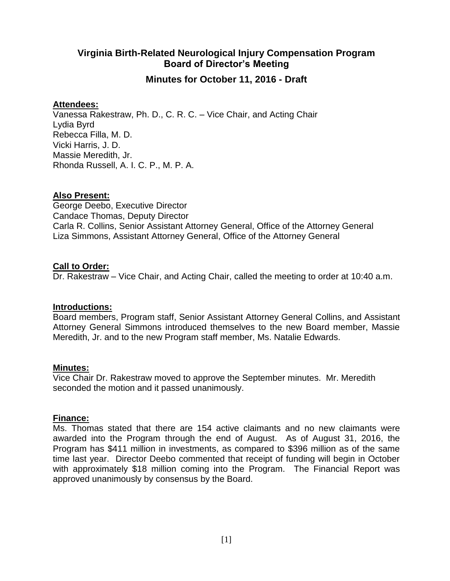# **Virginia Birth-Related Neurological Injury Compensation Program Board of Director's Meeting**

## **Minutes for October 11, 2016 - Draft**

## **Attendees:**

Vanessa Rakestraw, Ph. D., C. R. C. – Vice Chair, and Acting Chair Lydia Byrd Rebecca Filla, M. D. Vicki Harris, J. D. Massie Meredith, Jr. Rhonda Russell, A. I. C. P., M. P. A.

## **Also Present:**

George Deebo, Executive Director Candace Thomas, Deputy Director Carla R. Collins, Senior Assistant Attorney General, Office of the Attorney General Liza Simmons, Assistant Attorney General, Office of the Attorney General

## **Call to Order:**

Dr. Rakestraw – Vice Chair, and Acting Chair, called the meeting to order at 10:40 a.m.

## **Introductions:**

Board members, Program staff, Senior Assistant Attorney General Collins, and Assistant Attorney General Simmons introduced themselves to the new Board member, Massie Meredith, Jr. and to the new Program staff member, Ms. Natalie Edwards.

## **Minutes:**

Vice Chair Dr. Rakestraw moved to approve the September minutes. Mr. Meredith seconded the motion and it passed unanimously.

## **Finance:**

Ms. Thomas stated that there are 154 active claimants and no new claimants were awarded into the Program through the end of August. As of August 31, 2016, the Program has \$411 million in investments, as compared to \$396 million as of the same time last year. Director Deebo commented that receipt of funding will begin in October with approximately \$18 million coming into the Program. The Financial Report was approved unanimously by consensus by the Board.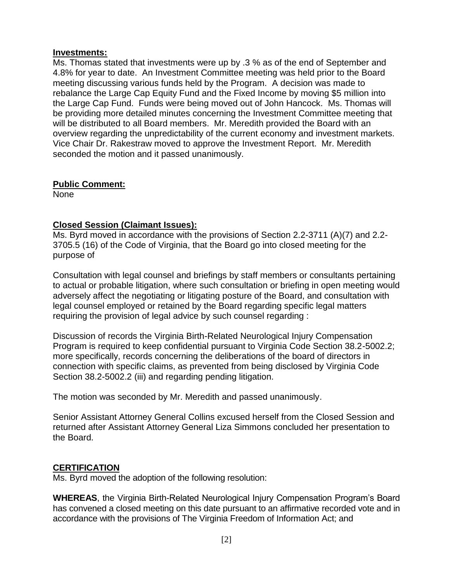#### **Investments:**

Ms. Thomas stated that investments were up by .3 % as of the end of September and 4.8% for year to date. An Investment Committee meeting was held prior to the Board meeting discussing various funds held by the Program. A decision was made to rebalance the Large Cap Equity Fund and the Fixed Income by moving \$5 million into the Large Cap Fund. Funds were being moved out of John Hancock. Ms. Thomas will be providing more detailed minutes concerning the Investment Committee meeting that will be distributed to all Board members. Mr. Meredith provided the Board with an overview regarding the unpredictability of the current economy and investment markets. Vice Chair Dr. Rakestraw moved to approve the Investment Report. Mr. Meredith seconded the motion and it passed unanimously.

## **Public Comment:**

None

## **Closed Session (Claimant Issues):**

Ms. Byrd moved in accordance with the provisions of Section 2.2-3711 (A)(7) and 2.2- 3705.5 (16) of the Code of Virginia, that the Board go into closed meeting for the purpose of

Consultation with legal counsel and briefings by staff members or consultants pertaining to actual or probable litigation, where such consultation or briefing in open meeting would adversely affect the negotiating or litigating posture of the Board, and consultation with legal counsel employed or retained by the Board regarding specific legal matters requiring the provision of legal advice by such counsel regarding :

Discussion of records the Virginia Birth-Related Neurological Injury Compensation Program is required to keep confidential pursuant to Virginia Code Section 38.2-5002.2; more specifically, records concerning the deliberations of the board of directors in connection with specific claims, as prevented from being disclosed by Virginia Code Section 38.2-5002.2 (iii) and regarding pending litigation.

The motion was seconded by Mr. Meredith and passed unanimously.

Senior Assistant Attorney General Collins excused herself from the Closed Session and returned after Assistant Attorney General Liza Simmons concluded her presentation to the Board.

## **CERTIFICATION**

Ms. Byrd moved the adoption of the following resolution:

**WHEREAS**, the Virginia Birth-Related Neurological Injury Compensation Program's Board has convened a closed meeting on this date pursuant to an affirmative recorded vote and in accordance with the provisions of The Virginia Freedom of Information Act; and